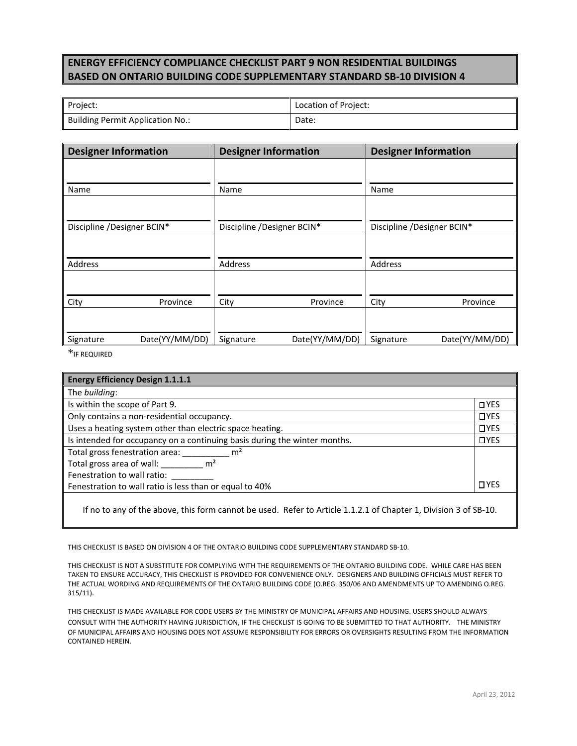## **ENERGY EFFICIENCY COMPLIANCE CHECKLIST PART 9 NON RESIDENTIAL BUILDINGS BASED ON ONTARIO BUILDING CODE SUPPLEMENTARY STANDARD SB‐10 DIVISION 4**

| Project:                                | Location of Project: |
|-----------------------------------------|----------------------|
| <b>Building Permit Application No.:</b> | Date:                |

| <b>Designer Information</b> |                | <b>Designer Information</b> |                | <b>Designer Information</b> |                |
|-----------------------------|----------------|-----------------------------|----------------|-----------------------------|----------------|
|                             |                |                             |                |                             |                |
| Name                        |                | Name                        |                | Name                        |                |
|                             |                |                             |                |                             |                |
| Discipline /Designer BCIN*  |                | Discipline /Designer BCIN*  |                | Discipline /Designer BCIN*  |                |
|                             |                |                             |                |                             |                |
| <b>Address</b>              |                | Address                     |                | Address                     |                |
|                             |                |                             |                |                             |                |
| City                        | Province       | City                        | Province       | City                        | Province       |
|                             |                |                             |                |                             |                |
| Signature                   | Date(YY/MM/DD) | Signature                   | Date(YY/MM/DD) | Signature                   | Date(YY/MM/DD) |

\*IF REQUIRED

| <b>Energy Efficiency Design 1.1.1.1</b>                                                                          |             |  |  |
|------------------------------------------------------------------------------------------------------------------|-------------|--|--|
| The building:                                                                                                    |             |  |  |
| Is within the scope of Part 9.                                                                                   | IYES        |  |  |
| Only contains a non-residential occupancy.                                                                       | <b>DYES</b> |  |  |
| Uses a heating system other than electric space heating.                                                         | $\Box$ YES  |  |  |
| Is intended for occupancy on a continuing basis during the winter months.                                        | <b>OYES</b> |  |  |
| Total gross fenestration area: m <sup>2</sup>                                                                    |             |  |  |
| Total gross area of wall: $\mathsf{m}^2$                                                                         |             |  |  |
| Fenestration to wall ratio:                                                                                      |             |  |  |
| Fenestration to wall ratio is less than or equal to 40%                                                          | $\Box$ YES  |  |  |
| If no to any of the above, this form cannot be used. Refer to Article 1.1.2.1 of Chapter 1, Division 3 of SB-10. |             |  |  |

THIS CHECKLIST IS BASED ON DIVISION 4 OF THE ONTARIO BUILDING CODE SUPPLEMENTARY STANDARD SB‐10.

THIS CHECKLIST IS NOT A SUBSTITUTE FOR COMPLYING WITH THE REQUIREMENTS OF THE ONTARIO BUILDING CODE. WHILE CARE HAS BEEN TAKEN TO ENSURE ACCURACY, THIS CHECKLIST IS PROVIDED FOR CONVENIENCE ONLY. DESIGNERS AND BUILDING OFFICIALS MUST REFER TO THE ACTUAL WORDING AND REQUIREMENTS OF THE ONTARIO BUILDING CODE (O.REG. 350/06 AND AMENDMENTS UP TO AMENDING O.REG. 315/11).

THIS CHECKLIST IS MADE AVAILABLE FOR CODE USERS BY THE MINISTRY OF MUNICIPAL AFFAIRS AND HOUSING. USERS SHOULD ALWAYS CONSULT WITH THE AUTHORITY HAVING JURISDICTION, IF THE CHECKLIST IS GOING TO BE SUBMITTED TO THAT AUTHORITY. THE MINISTRY OF MUNICIPAL AFFAIRS AND HOUSING DOES NOT ASSUME RESPONSIBILITY FOR ERRORS OR OVERSIGHTS RESULTING FROM THE INFORMATION CONTAINED HEREIN.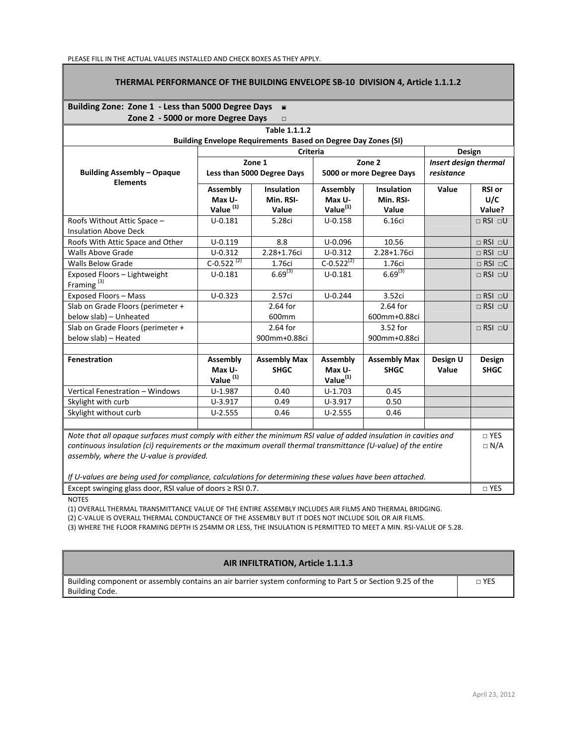## **THERMAL PERFORMANCE OF THE BUILDING ENVELOPE SB‐10 DIVISION 4, Article 1.1.1.2**

## **Building Zone: Zone 1 ‐ Less than 5000 Degree Days** □ ■

| Zone 2 - 5000 or more Degree Days<br>$\Box$                                                                     |                                            |                                                                      |                                                   |                                    |                                            |                       |
|-----------------------------------------------------------------------------------------------------------------|--------------------------------------------|----------------------------------------------------------------------|---------------------------------------------------|------------------------------------|--------------------------------------------|-----------------------|
|                                                                                                                 |                                            | Table 1.1.1.2                                                        |                                                   |                                    |                                            |                       |
|                                                                                                                 |                                            | <b>Building Envelope Requirements Based on Degree Day Zones (SI)</b> |                                                   |                                    |                                            |                       |
|                                                                                                                 | <b>Criteria</b>                            |                                                                      |                                                   |                                    | Design                                     |                       |
|                                                                                                                 | Zone 1                                     |                                                                      | Zone 2                                            |                                    | <b>Insert design thermal</b><br>resistance |                       |
| <b>Building Assembly - Opaque</b><br><b>Elements</b>                                                            | Less than 5000 Degree Days                 |                                                                      | 5000 or more Degree Days                          |                                    |                                            |                       |
|                                                                                                                 | Assembly                                   | <b>Insulation</b>                                                    | Assembly                                          | <b>Insulation</b>                  | Value                                      | <b>RSI or</b>         |
|                                                                                                                 | Max U-                                     | Min. RSI-                                                            | Max U-                                            | Min. RSI-                          |                                            | U/C                   |
|                                                                                                                 | Value <sup>(1)</sup>                       | Value                                                                | Value <sup>(1)</sup>                              | Value                              |                                            | Value?                |
| Roofs Without Attic Space -                                                                                     | $U - 0.181$                                | 5.28ci                                                               | $U-0.158$                                         | 6.16ci                             |                                            | $\Box$ RSI $\Box$ U   |
| <b>Insulation Above Deck</b>                                                                                    |                                            |                                                                      |                                                   |                                    |                                            |                       |
| Roofs With Attic Space and Other                                                                                | $U - 0.119$                                | 8.8                                                                  | $U - 0.096$                                       | 10.56                              |                                            | $\Box$ RSI $\Box$ U   |
| <b>Walls Above Grade</b>                                                                                        | $U - 0.312$                                | 2.28+1.76ci                                                          | $U - 0.312$                                       | 2.28+1.76ci                        |                                            | $\Box$ RSI $\Box$ U   |
| <b>Walls Below Grade</b>                                                                                        | C-0.522 <sup>(2)</sup>                     | 1.76ci                                                               | $C-0.522^{(2)}$                                   | 1.76ci                             |                                            | $\Box$ RSI $\Box$ C   |
| Exposed Floors - Lightweight<br>Framing <sup>(3)</sup>                                                          | $U - 0.181$                                | $6.69^{(3)}$                                                         | $U - 0.181$                                       | $6.69^{(3)}$                       |                                            | $\Box$ RSI $\Box$ U   |
| Exposed Floors - Mass                                                                                           | $U - 0.323$                                | 2.57ci                                                               | $U - 0.244$                                       | 3.52ci                             |                                            | $\Box$ RSI $\Box$ U   |
| Slab on Grade Floors (perimeter +                                                                               |                                            | 2.64 for                                                             |                                                   | 2.64 for                           |                                            | $\Box$ RSI $\Box$ U   |
| below slab) - Unheated                                                                                          |                                            | 600mm                                                                |                                                   | 600mm+0.88ci                       |                                            |                       |
| Slab on Grade Floors (perimeter +                                                                               |                                            | 2.64 for                                                             |                                                   | 3.52 for                           |                                            | $\Box$ RSI $\Box$ U   |
| below slab) - Heated                                                                                            |                                            | 900mm+0.88ci                                                         |                                                   | 900mm+0.88ci                       |                                            |                       |
|                                                                                                                 |                                            |                                                                      |                                                   |                                    |                                            |                       |
| Fenestration                                                                                                    | Assembly<br>Max U-<br>Value <sup>(1)</sup> | <b>Assembly Max</b><br><b>SHGC</b>                                   | <b>Assembly</b><br>Max U-<br>Value <sup>(1)</sup> | <b>Assembly Max</b><br><b>SHGC</b> | Design U<br>Value                          | Design<br><b>SHGC</b> |
| Vertical Fenestration - Windows                                                                                 | $U-1.987$                                  | 0.40                                                                 | $U-1.703$                                         | 0.45                               |                                            |                       |
|                                                                                                                 | $U-3.917$                                  | 0.49                                                                 | $U-3.917$                                         | 0.50                               |                                            |                       |
| Skylight with curb<br>Skylight without curb                                                                     | $U-2.555$                                  | 0.46                                                                 |                                                   | 0.46                               |                                            |                       |
|                                                                                                                 |                                            |                                                                      | $U-2.555$                                         |                                    |                                            |                       |
| Note that all opaque surfaces must comply with either the minimum RSI value of added insulation in cavities and |                                            |                                                                      |                                                   | $\Box$ YES                         |                                            |                       |
| continuous insulation (ci) requirements or the maximum overall thermal transmittance (U-value) of the entire    |                                            |                                                                      |                                                   | $\Box$ N/A                         |                                            |                       |
| assembly, where the U-value is provided.                                                                        |                                            |                                                                      |                                                   |                                    |                                            |                       |
|                                                                                                                 |                                            |                                                                      |                                                   |                                    |                                            |                       |
| If U-values are being used for compliance, calculations for determining these values have been attached.        |                                            |                                                                      |                                                   |                                    |                                            |                       |
| Except swinging glass door, RSI value of doors $\geq$ RSI 0.7.                                                  |                                            |                                                                      |                                                   | □ YES                              |                                            |                       |

**NOTES** 

(1) OVERALL THERMAL TRANSMITTANCE VALUE OF THE ENTIRE ASSEMBLY INCLUDES AIR FILMS AND THERMAL BRIDGING.

(2) C-VALUE IS OVERALL THERMAL CONDUCTANCE OF THE ASSEMBLY BUT IT DOES NOT INCLUDE SOIL OR AIR FILMS.

(3) WHERE THE FLOOR FRAMING DEPTH IS 254MM OR LESS, THE INSULATION IS PERMITTED TO MEET A MIN. RSI‐VALUE OF 5.28.

## **AIR INFILTRATION, Article 1.1.1.3**

| Building component or assembly contains an air barrier system conforming to Part 5 or Section 9.25 of the | n YES |
|-----------------------------------------------------------------------------------------------------------|-------|
| Building Code.                                                                                            |       |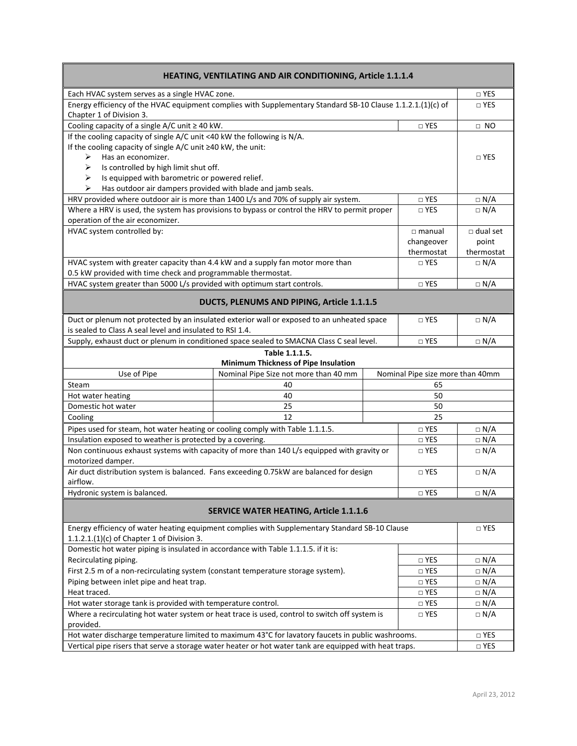| HEATING, VENTILATING AND AIR CONDITIONING, Article 1.1.1.4                                                                                     |                                                                                                |  |                                  |                 |  |
|------------------------------------------------------------------------------------------------------------------------------------------------|------------------------------------------------------------------------------------------------|--|----------------------------------|-----------------|--|
| Each HVAC system serves as a single HVAC zone.                                                                                                 |                                                                                                |  |                                  | $\Box$ YES      |  |
| Energy efficiency of the HVAC equipment complies with Supplementary Standard SB-10 Clause 1.1.2.1.(1)(c) of<br>Chapter 1 of Division 3.        |                                                                                                |  |                                  | $\Box$ YES      |  |
| Cooling capacity of a single $A/C$ unit $\geq 40$ kW.                                                                                          |                                                                                                |  | $\neg$ YES                       | $\Box$ NO       |  |
| If the cooling capacity of single A/C unit <40 kW the following is N/A.                                                                        |                                                                                                |  |                                  |                 |  |
| If the cooling capacity of single A/C unit ≥40 kW, the unit:                                                                                   |                                                                                                |  |                                  |                 |  |
| Has an economizer.<br>⋗                                                                                                                        |                                                                                                |  |                                  | □ YES           |  |
| Is controlled by high limit shut off.<br>➤                                                                                                     |                                                                                                |  |                                  |                 |  |
| ⋗<br>Is equipped with barometric or powered relief.                                                                                            |                                                                                                |  |                                  |                 |  |
| Has outdoor air dampers provided with blade and jamb seals.<br>⋗                                                                               |                                                                                                |  |                                  |                 |  |
|                                                                                                                                                | HRV provided where outdoor air is more than 1400 L/s and 70% of supply air system.             |  | □ YES                            | $\Box$ N/A      |  |
|                                                                                                                                                | Where a HRV is used, the system has provisions to bypass or control the HRV to permit proper   |  | $\Box$ YES                       | $\Box$ N/A      |  |
| operation of the air economizer.                                                                                                               |                                                                                                |  |                                  |                 |  |
| HVAC system controlled by:                                                                                                                     |                                                                                                |  | $\Box$ manual                    | $\Box$ dual set |  |
|                                                                                                                                                |                                                                                                |  | changeover                       | point           |  |
|                                                                                                                                                |                                                                                                |  | thermostat                       | thermostat      |  |
| HVAC system with greater capacity than 4.4 kW and a supply fan motor more than<br>0.5 kW provided with time check and programmable thermostat. |                                                                                                |  | □ YES                            | $\Box$ N/A      |  |
| HVAC system greater than 5000 L/s provided with optimum start controls.                                                                        |                                                                                                |  | □ YES                            | $\Box$ N/A      |  |
|                                                                                                                                                |                                                                                                |  |                                  |                 |  |
|                                                                                                                                                | DUCTS, PLENUMS AND PIPING, Article 1.1.1.5                                                     |  |                                  |                 |  |
|                                                                                                                                                | Duct or plenum not protected by an insulated exterior wall or exposed to an unheated space     |  | $\sqcap$ YES                     | $\Box$ N/A      |  |
| is sealed to Class A seal level and insulated to RSI 1.4.                                                                                      |                                                                                                |  |                                  |                 |  |
|                                                                                                                                                | Supply, exhaust duct or plenum in conditioned space sealed to SMACNA Class C seal level.       |  | □ YES                            | $\Box$ N/A      |  |
| Table 1.1.1.5.<br>Minimum Thickness of Pipe Insulation                                                                                         |                                                                                                |  |                                  |                 |  |
| Use of Pipe                                                                                                                                    | Nominal Pipe Size not more than 40 mm                                                          |  | Nominal Pipe size more than 40mm |                 |  |
| Steam                                                                                                                                          | 40                                                                                             |  | 65                               |                 |  |
| Hot water heating                                                                                                                              | 40                                                                                             |  | 50                               |                 |  |
| Domestic hot water                                                                                                                             | 25<br>50                                                                                       |  |                                  |                 |  |
| Cooling                                                                                                                                        | 12                                                                                             |  | 25                               |                 |  |
| Pipes used for steam, hot water heating or cooling comply with Table 1.1.1.5.                                                                  |                                                                                                |  | $\Box$ YES                       | $\Box$ N/A      |  |
| Insulation exposed to weather is protected by a covering.                                                                                      |                                                                                                |  | $\Box$ YES                       | $\Box$ N/A      |  |
| Non continuous exhaust systems with capacity of more than 140 L/s equipped with gravity or<br>□ YES<br>motorized damper.                       |                                                                                                |  |                                  | $\Box$ N/A      |  |
| Air duct distribution system is balanced. Fans exceeding 0.75kW are balanced for design<br>airflow.                                            |                                                                                                |  | □ YES                            | $\Box$ N/A      |  |
| Hydronic system is balanced.                                                                                                                   |                                                                                                |  | □ YES                            | $\Box$ N/A      |  |
| <b>SERVICE WATER HEATING, Article 1.1.1.6</b>                                                                                                  |                                                                                                |  |                                  |                 |  |
|                                                                                                                                                | Energy efficiency of water heating equipment complies with Supplementary Standard SB-10 Clause |  |                                  | $\Box$ YES      |  |
| 1.1.2.1. $(1)(c)$ of Chapter 1 of Division 3.                                                                                                  |                                                                                                |  |                                  |                 |  |
| Domestic hot water piping is insulated in accordance with Table 1.1.1.5. if it is:                                                             |                                                                                                |  |                                  |                 |  |
| Recirculating piping.<br>$\Box$ YES                                                                                                            |                                                                                                |  | $\Box$ N/A                       |                 |  |
| First 2.5 m of a non-recirculating system (constant temperature storage system).<br>$\Box$ YES                                                 |                                                                                                |  | $\Box$ N/A                       |                 |  |
| Piping between inlet pipe and heat trap.<br>$\square$ YES                                                                                      |                                                                                                |  | $\Box$ N/A                       |                 |  |
| Heat traced.<br>$\square$ YES                                                                                                                  |                                                                                                |  | $\Box$ N/A                       |                 |  |
| Hot water storage tank is provided with temperature control.<br>$\Box$ YES                                                                     |                                                                                                |  |                                  | $\Box N/A$      |  |
| Where a recirculating hot water system or heat trace is used, control to switch off system is<br>$\square$ YES<br>provided.                    |                                                                                                |  |                                  | $\Box$ N/A      |  |
| Hot water discharge temperature limited to maximum 43°C for lavatory faucets in public washrooms.                                              |                                                                                                |  |                                  | $\Box$ YES      |  |
| Vertical pipe risers that serve a storage water heater or hot water tank are equipped with heat traps.                                         |                                                                                                |  |                                  | $\Box$ YES      |  |